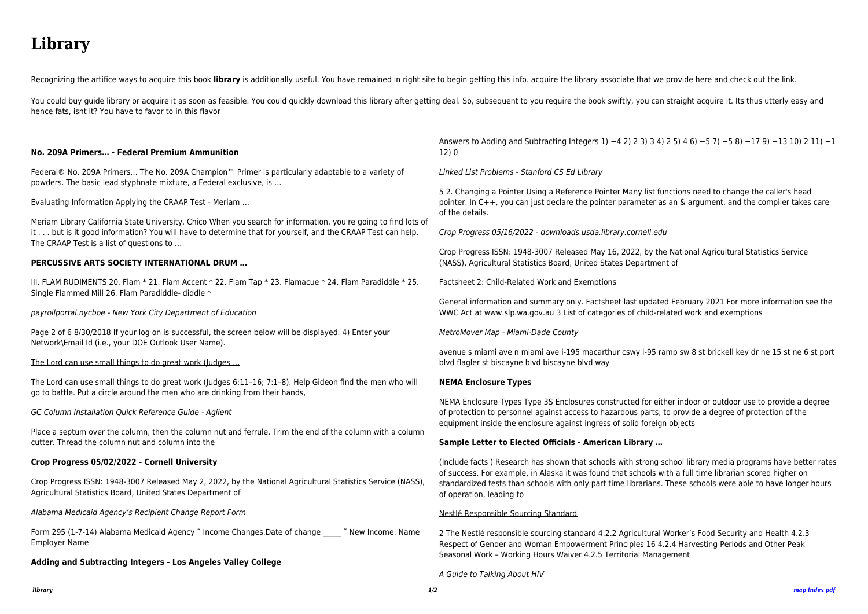# **Library**

Recognizing the artifice ways to acquire this book library is additionally useful. You have remained in right site to begin getting this info. acquire the library associate that we provide here and check out the link.

You could buy quide library or acquire it as soon as feasible. You could quickly download this library after getting deal. So, subsequent to you require the book swiftly, you can straight acquire it. Its thus utterly easy hence fats, isnt it? You have to favor to in this flavor

#### **No. 209A Primers… - Federal Premium Ammunition**

Federal® No. 209A Primers… The No. 209A Champion™ Primer is particularly adaptable to a variety of powders. The basic lead styphnate mixture, a Federal exclusive, is …

Evaluating Information Applying the CRAAP Test - Meriam …

Meriam Library California State University, Chico When you search for information, you're going to find lots of it . . . but is it good information? You will have to determine that for yourself, and the CRAAP Test can help. The CRAAP Test is a list of questions to …

#### **PERCUSSIVE ARTS SOCIETY INTERNATIONAL DRUM …**

Form 295 (1-7-14) Alabama Medicaid Agency ~ Income Changes.Date of change  $\sim$  ~ New Income. Name Employer Name

III. FLAM RUDIMENTS 20. Flam \* 21. Flam Accent \* 22. Flam Tap \* 23. Flamacue \* 24. Flam Paradiddle \* 25. Single Flammed Mill 26. Flam Paradiddle- diddle \*

payrollportal.nycboe - New York City Department of Education

Page 2 of 6 8/30/2018 If your log on is successful, the screen below will be displayed. 4) Enter your Network\Email Id (i.e., your DOE Outlook User Name).

The Lord can use small things to do great work (Judges …

The Lord can use small things to do great work (Judges 6:11–16; 7:1–8). Help Gideon find the men who will go to battle. Put a circle around the men who are drinking from their hands,

GC Column Installation Quick Reference Guide - Agilent

Place a septum over the column, then the column nut and ferrule. Trim the end of the column with a column cutter. Thread the column nut and column into the

#### **Crop Progress 05/02/2022 - Cornell University**

Crop Progress ISSN: 1948-3007 Released May 2, 2022, by the National Agricultural Statistics Service (NASS), Agricultural Statistics Board, United States Department of

Alabama Medicaid Agency's Recipient Change Report Form

**Adding and Subtracting Integers - Los Angeles Valley College**

Answers to Adding and Subtracting Integers 1) −4 2) 2 3) 3 4) 2 5) 4 6) −5 7) −5 8) −17 9) −13 10) 2 11) −1 12) 0

Linked List Problems - Stanford CS Ed Library

5 2. Changing a Pointer Using a Reference Pointer Many list functions need to change the caller's head pointer. In C++, you can just declare the pointer parameter as an & argument, and the compiler takes care of the details.

Crop Progress 05/16/2022 - downloads.usda.library.cornell.edu

Crop Progress ISSN: 1948-3007 Released May 16, 2022, by the National Agricultural Statistics Service (NASS), Agricultural Statistics Board, United States Department of

Factsheet 2: Child-Related Work and Exemptions

General information and summary only. Factsheet last updated February 2021 For more information see the WWC Act at www.slp.wa.gov.au 3 List of categories of child-related work and exemptions

MetroMover Map - Miami-Dade County

avenue s miami ave n miami ave i-195 macarthur cswy i-95 ramp sw 8 st brickell key dr ne 15 st ne 6 st port blvd flagler st biscayne blvd biscayne blvd way

#### **NEMA Enclosure Types**

NEMA Enclosure Types Type 3S Enclosures constructed for either indoor or outdoor use to provide a degree of protection to personnel against access to hazardous parts; to provide a degree of protection of the equipment inside the enclosure against ingress of solid foreign objects

#### **Sample Letter to Elected Officials - American Library …**

(Include facts ) Research has shown that schools with strong school library media programs have better rates of success. For example, in Alaska it was found that schools with a full time librarian scored higher on standardized tests than schools with only part time librarians. These schools were able to have longer hours of operation, leading to

#### Nestlé Responsible Sourcing Standard

2 The Nestlé responsible sourcing standard 4.2.2 Agricultural Worker's Food Security and Health 4.2.3 Respect of Gender and Woman Empowerment Principles 16 4.2.4 Harvesting Periods and Other Peak Seasonal Work – Working Hours Waiver 4.2.5 Territorial Management

A Guide to Talking About HIV